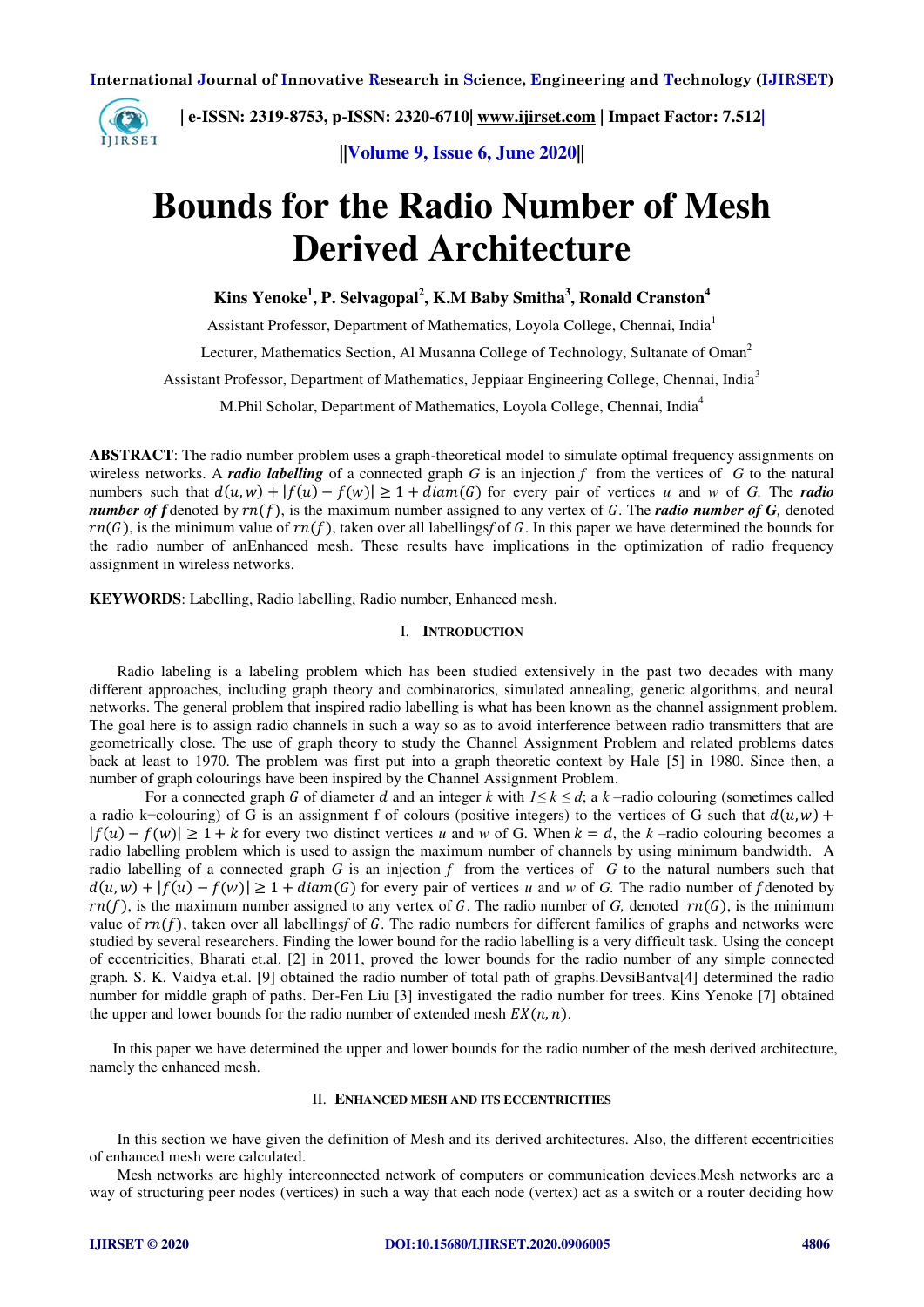

 **| e-ISSN: 2319-8753, p-ISSN: 2320-6710[| www.ijirset.com](http://www.ijirset.com/) | Impact Factor: 7.512|**

**||Volume 9, Issue 6, June 2020||** 

# **Bounds for the Radio Number of Mesh Derived Architecture**

**Kins Yenoke<sup>1</sup> , P. Selvagopal<sup>2</sup> , K.M Baby Smitha<sup>3</sup> , Ronald Cranston<sup>4</sup>**

Assistant Professor, Department of Mathematics, Loyola College, Chennai, India<sup>1</sup>

Lecturer, Mathematics Section, Al Musanna College of Technology, Sultanate of Oman<sup>2</sup>

Assistant Professor, Department of Mathematics, Jeppiaar Engineering College, Chennai, India<sup>3</sup>

M.Phil Scholar, Department of Mathematics, Loyola College, Chennai, India<sup>4</sup>

**ABSTRACT**: The radio number problem uses a graph-theoretical model to simulate optimal frequency assignments on wireless networks. A *radio labelling* of a connected graph *G* is an injection *f* from the vertices of *G* to the natural numbers such that  $d(u, w) + |f(u) - f(w)| \ge 1 + diam(G)$  for every pair of vertices *u* and *w* of *G*. The *radio number of f* denoted by  $rn(f)$ , is the maximum number assigned to any vertex of G. The *radio number of G*, denoted  $rn(G)$ , is the minimum value of  $rn(f)$ , taken over all labellingsf of G. In this paper we have determined the bounds for the radio number of anEnhanced mesh. These results have implications in the optimization of radio frequency assignment in wireless networks.

**KEYWORDS**: Labelling, Radio labelling, Radio number, Enhanced mesh.

### I. **INTRODUCTION**

Radio labeling is a labeling problem which has been studied extensively in the past two decades with many different approaches, including graph theory and combinatorics, simulated annealing, genetic algorithms, and neural networks. The general problem that inspired radio labelling is what has been known as the channel assignment problem. The goal here is to assign radio channels in such a way so as to avoid interference between radio transmitters that are geometrically close. The use of graph theory to study the Channel Assignment Problem and related problems dates back at least to 1970. The problem was first put into a graph theoretic context by Hale [5] in 1980. Since then, a number of graph colourings have been inspired by the Channel Assignment Problem.

For a connected graph G of diameter d and an integer k with  $1 \leq k \leq d$ ; a k –radio colouring (sometimes called a radio k−colouring) of G is an assignment f of colours (positive integers) to the vertices of G such that  $d(u, w)$  +  $|f(u) - f(w)| \ge 1 + k$  for every two distinct vertices *u* and *w* of G. When  $k = d$ , the  $k$  –radio colouring becomes a radio labelling problem which is used to assign the maximum number of channels by using minimum bandwidth. A radio labelling of a connected graph *G* is an injection *f* from the vertices of *G* to the natural numbers such that  $d(u, w) + |f(u) - f(w)| \ge 1 + diam(G)$  for every pair of vertices *u* and *w* of *G*. The radio number of f denoted by  $rn(f)$ , is the maximum number assigned to any vertex of G. The radio number of G, denoted  $rn(G)$ , is the minimum value of  $rn(f)$ , taken over all labellingsf of G. The radio numbers for different families of graphs and networks were studied by several researchers. Finding the lower bound for the radio labelling is a very difficult task. Using the concept of eccentricities, Bharati et.al. [2] in 2011, proved the lower bounds for the radio number of any simple connected graph. S. K. Vaidya et.al. [9] obtained the radio number of total path of graphs.DevsiBantva[4] determined the radio number for middle graph of paths. Der-Fen Liu [3] investigated the radio number for trees. Kins Yenoke [7] obtained the upper and lower bounds for the radio number of extended mesh  $EX(n, n)$ .

 In this paper we have determined the upper and lower bounds for the radio number of the mesh derived architecture, namely the enhanced mesh.

## II. **ENHANCED MESH AND ITS ECCENTRICITIES**

In this section we have given the definition of Mesh and its derived architectures. Also, the different eccentricities of enhanced mesh were calculated.

Mesh networks are highly interconnected network of computers or communication devices.Mesh networks are a way of structuring peer nodes (vertices) in such a way that each node (vertex) act as a switch or a router deciding how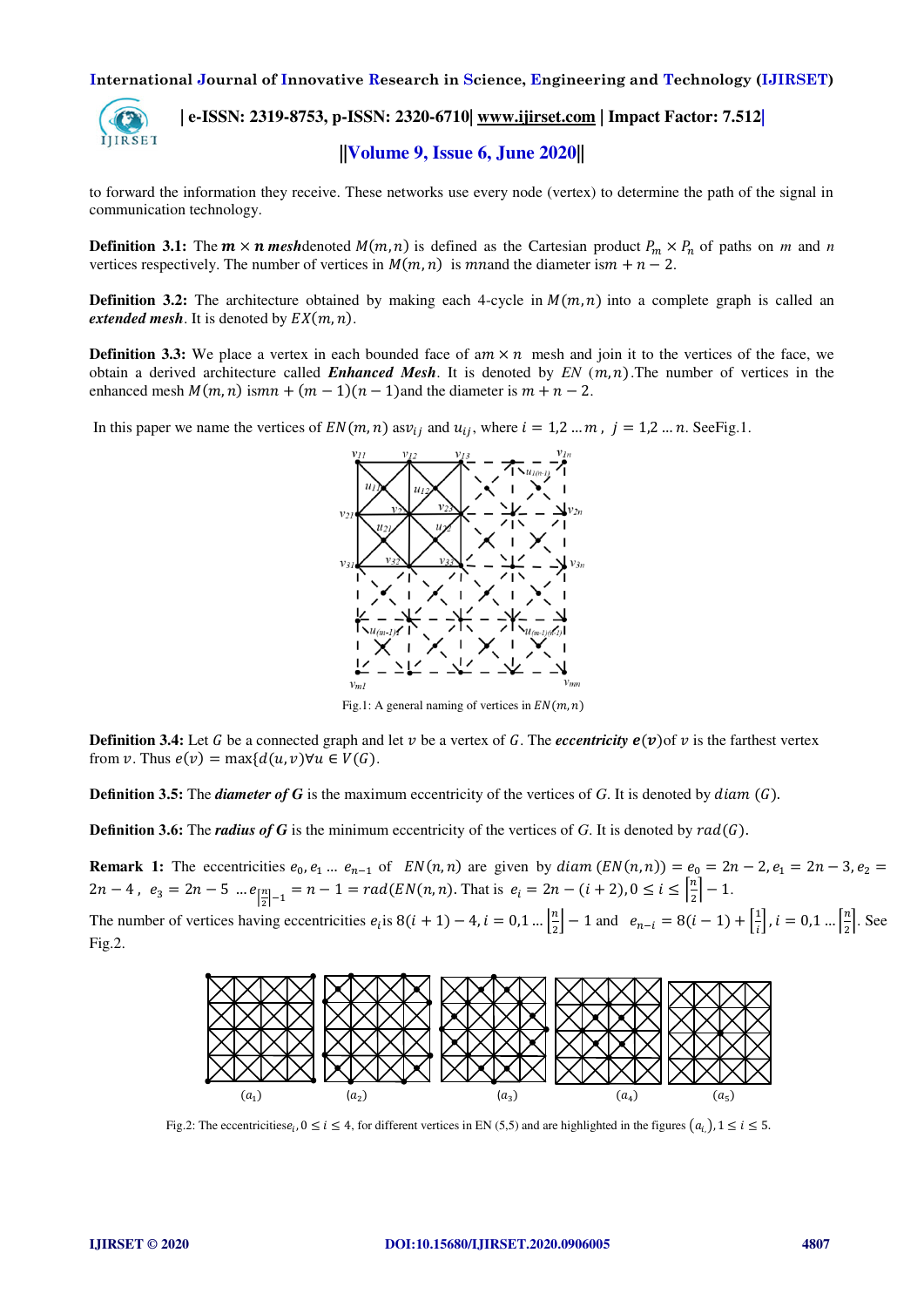

 **| e-ISSN: 2319-8753, p-ISSN: 2320-6710[| www.ijirset.com](http://www.ijirset.com/) | Impact Factor: 7.512| ||Volume 9, Issue 6, June 2020||** 

to forward the information they receive. These networks use every node (vertex) to determine the path of the signal in communication technology.

**Definition 3.1:** The  $m \times n$  meshdenoted  $M(m, n)$  is defined as the Cartesian product  $P_m \times P_n$  of paths on *m* and *n* vertices respectively. The number of vertices in  $M(m, n)$  is mannet the diameter is  $m + n - 2$ .

**Definition 3.2:** The architecture obtained by making each 4-cycle in  $M(m, n)$  into a complete graph is called an *extended mesh.* It is denoted by  $EX(m, n)$ .

**Definition 3.3:** We place a vertex in each bounded face of  $am \times n$  mesh and join it to the vertices of the face, we obtain a derived architecture called *Enhanced Mesh*. It is denoted by  $EN(m, n)$ . The number of vertices in the enhanced mesh  $M(m, n)$  is  $mn + (m - 1)(n - 1)$  and the diameter is  $m + n - 2$ .

In this paper we name the vertices of  $EN(m, n)$  as  $v_{ij}$  and  $u_{ij}$ , where  $i = 1, 2, ..., m$ ,  $j = 1, 2, ..., n$ . SeeFig.1.



Fig.1: A general naming of vertices in  $EN(m, n)$ 

**Definition 3.4:** Let G be a connected graph and let v be a vertex of G. The *eccentricity*  $e(v)$  of v is the farthest vertex from v. Thus  $e(v) = \max\{d(u, v)\forall u \in V(G)\}.$ 

**Definition 3.5:** The *diameter of G* is the maximum eccentricity of the vertices of G. It is denoted by  $diam(G)$ .

**Definition 3.6:** The *radius of G* is the minimum eccentricity of the vertices of G. It is denoted by  $rad(G)$ .

**Remark 1:** The eccentricities  $e_0, e_1 ... e_{n-1}$  of  $EN(n, n)$  are given by  $diam(EN(n, n)) = e_0 = 2n - 2, e_1 = 2n - 3, e_2 = 0$  $2n-4$ ,  $e_3 = 2n-5$  ...  $e_{\left[\frac{n}{2}\right]-1} = n-1 = rad(EN(n, n))$ . That is  $e_i = 2n - (i + 2), 0 \le i \le \left|\frac{n}{2}\right|-1$ . 2

The number of vertices having eccentricities  $e_i$  is  $8(i + 1) - 4$ ,  $i = 0,1 \dots \left[\frac{n}{2}\right] - 1$  and  $e_{n-i} = 8(i - 1) + \left[\frac{1}{i}\right]$ ,  $i = 0,1 \dots \left[\frac{n}{2}\right]$ . See Fig.2.



Fig.2: The eccentricities  $e_i$ ,  $0 \le i \le 4$ , for different vertices in EN (5,5) and are highlighted in the figures  $(a_i)$ ,  $1 \le i \le 5$ .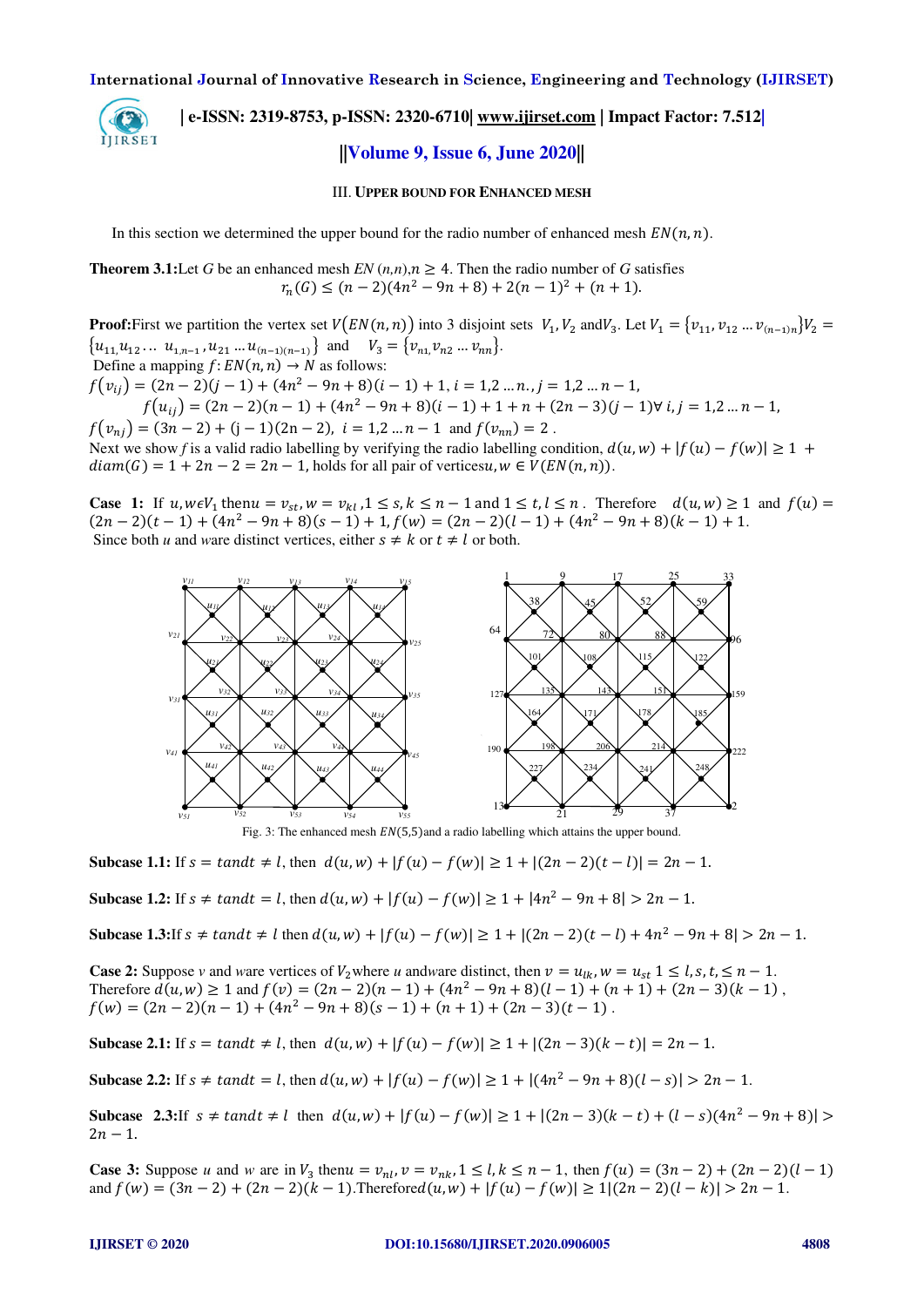$\sqrt{2}$ IJIRSET

 **| e-ISSN: 2319-8753, p-ISSN: 2320-6710[| www.ijirset.com](http://www.ijirset.com/) | Impact Factor: 7.512|**

# **||Volume 9, Issue 6, June 2020||**

III. **UPPER BOUND FOR ENHANCED MESH**

In this section we determined the upper bound for the radio number of enhanced mesh  $EN(n, n)$ .

**Theorem 3.1:**Let *G* be an enhanced mesh *EN*  $(n, n)$ ,  $n \geq 4$ . Then the radio number of *G* satisfies  $r_n(G) \le (n-2)(4n^2 - 9n + 8) + 2(n-1)^2 + (n+1).$ 

**Proof:**First we partition the vertex set  $V(EN(n, n))$  into 3 disjoint sets  $V_1, V_2$  and  $V_3$ . Let  $V_1 = \{v_{11}, v_{12} ... v_{(n-1)n}\}V_2 =$  $\{u_{11}, u_{12}, \ldots u_{1,n-1}, u_{21} \ldots u_{(n-1)(n-1)}\}$  and  $V_3 = \{v_{n1}, v_{n2} \ldots v_{nn}\}.$ Define a mapping  $f: EN(n, n) \to N$  as follows:  $f(v_{ii}) = (2n - 2)(j - 1) + (4n^2 - 9n + 8)(i - 1) + 1$ ,  $i = 1, 2...n$ ,  $j = 1, 2...n - 1$ ,  $f(u_{ii}) = (2n-2)(n-1) + (4n^2 - 9n + 8)(i-1) + 1 + n + (2n-3)(i-1) \forall i, j = 1,2...n-1,$  $f(v_{ni}) = (3n - 2) + (j - 1)(2n - 2), i = 1,2...n - 1$  and  $f(v_{nn}) = 2$ . Next we show *f* is a valid radio labelling by verifying the radio labelling condition,  $d(u, w) + |f(u) - f(w)| \ge 1 +$  $diam(G) = 1 + 2n - 2 = 2n - 1$ , holds for all pair of verticesu,  $w \in V(EN(n, n))$ .

**Case 1:** If  $u, w \in V_1$  then  $u = v_{st}$ ,  $w = v_{kt}$ ,  $1 \le s, k \le n - 1$  and  $1 \le t, l \le n$ . Therefore  $d(u, w) \ge 1$  and  $f(u) =$  $(2n-2)(t-1)+(4n^2-9n+8)(s-1)+1, f(w) = (2n-2)(l-1)+(4n^2-9n+8)(k-1)+1.$ Since both *u* and *ware distinct vertices, either*  $s \neq k$  *or*  $t \neq l$  *or both.* 



Fig. 3: The enhanced mesh  $EN(5,5)$  and a radio labelling which attains the upper bound.

**Subcase 1.1:** If  $s = \text{tand } t \neq l$ , then  $d(u, w) + |f(u) - f(w)| \geq 1 + |(2n - 2)(t - l)| = 2n - 1$ .

**Subcase 1.2:** If  $s \neq$  tandt = l, then  $d(u, w) + |f(u) - f(w)| \geq 1 + |4n^2 - 9n + 8| > 2n - 1$ .

**Subcase 1.3:**If  $s \neq$  tandt  $\neq$  l then  $d(u, w) + |f(u) - f(w)| \geq 1 + |(2n - 2)(t - l) + 4n^2 - 9n + 8| > 2n - 1$ .

**Case 2:** Suppose *v* and *w*are vertices of  $V_2$  where *u* andware distinct, then  $v = u_{lk}$ ,  $w = u_{st}$ ,  $1 \leq l$ ,  $s$ ,  $t \leq n - 1$ . Therefore  $d(u, w) \ge 1$  and  $f(v) = (2n - 2)(n - 1) + (4n^2 - 9n + 8)(l - 1) + (n + 1) + (2n - 3)(k - 1)$ ,  $f(w) = (2n-2)(n-1) + (4n^2 - 9n + 8)(s - 1) + (n + 1) + (2n - 3)(t - 1)$ .

**Subcase 2.1:** If  $s = \text{tand } t \neq l$ , then  $d(u, w) + |f(u) - f(w)| \geq 1 + |(2n - 3)(k - t)| = 2n - 1$ .

**Subcase 2.2:** If  $s \neq$  tandt = l, then  $d(u, w) + |f(u) - f(w)| > 1 + |(4n^2 - 9n + 8)(l - s)| > 2n - 1$ .

**Subcase** 2.3:If  $s \neq$  tandt  $\neq$  l then  $d(u, w) + |f(u) - f(w)| \geq 1 + |(2n - 3)(k - t) + (l - s)(4n^2 - 9n + 8)|$  $2n - 1$ .

**Case 3:** Suppose *u* and *w* are in  $V_3$  then  $u = v_{nl}$ ,  $v = v_{nk}$ ,  $1 \le l$ ,  $k \le n - 1$ , then  $f(u) = (3n - 2) + (2n - 2)(l - 1)$ and  $f(w) = (3n - 2) + (2n - 2)(k - 1)$ . Therefored  $(u, w) + |f(u) - f(w)| \ge 1|(2n - 2)(l - k)| > 2n - 1$ .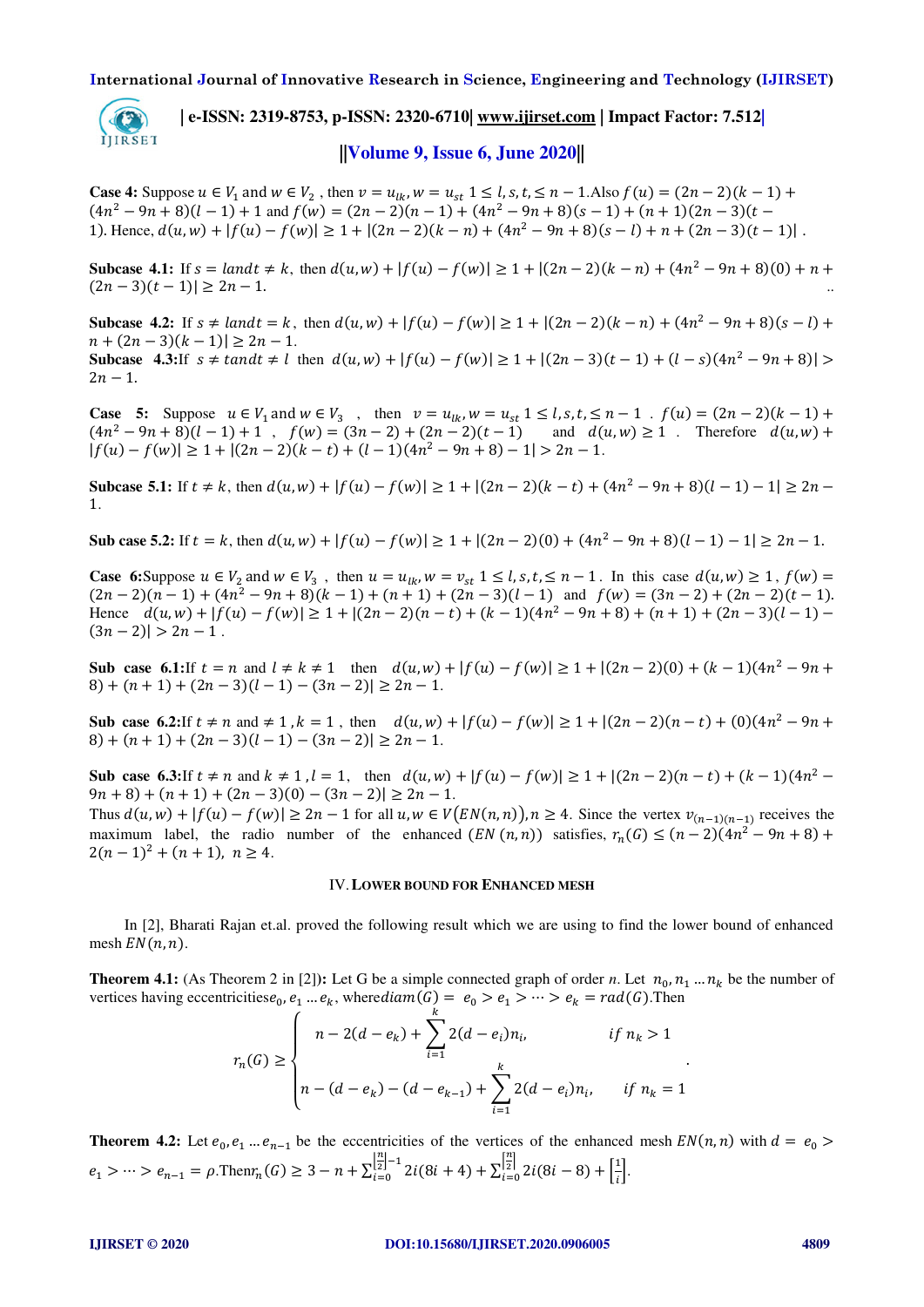

 **| e-ISSN: 2319-8753, p-ISSN: 2320-6710[| www.ijirset.com](http://www.ijirset.com/) | Impact Factor: 7.512|**

# **||Volume 9, Issue 6, June 2020||**

**Case 4:** Suppose  $u \in V_1$  and  $w \in V_2$ , then  $v = u_{lk}$ ,  $w = u_{st}$  1 ≤ *l*, *s*, *t*, ≤ *n* − 1.Also  $f(u) = (2n - 2)(k - 1) +$  $(4n<sup>2</sup> – 9n + 8)(l – 1) + 1$  and  $f(w) = (2n – 2)(n – 1) + (4n<sup>2</sup> – 9n + 8)(s – 1) + (n + 1)(2n – 3)(t – 1)$ 1). Hence,  $d(u, w) + |f(u) - f(w)| \ge 1 + |(2n - 2)(k - n) + (4n^2 - 9n + 8)(s - l) + n + (2n - 3)(t - 1)|$ .

**Subcase 4.1:** If  $s = landt \neq k$ , then  $d(u, w) + |f(u) - f(w)| \geq 1 + |(2n - 2)(k - n) + (4n^2 - 9n + 8)(0) + n +$  $(2n-3)(t-1)$ | ≥ 2n – 1.

**Subcase 4.2:** If  $s \neq landt = k$ , then  $d(u, w) + |f(u) - f(w)| \geq 1 + |(2n - 2)(k - n) + (4n^2 - 9n + 8)(s - l) +$  $n + (2n - 3)(k - 1) \geq 2n - 1$ . **Subcase** 4.3:If  $s \neq$  tandt  $\neq$  l then  $d(u, w) + |f(u) - f(w)| \ge 1 + |(2n - 3)(t - 1) + (l - s)(4n^2 - 9n + 8)|$  >  $2n - 1$ .

**Case** 5: Suppose  $u \in V_1$  and  $w \in V_3$ , then  $v = u_{lk}, w = u_{st}$   $1 \le l, s, t \le n - 1$ .  $f(u) = (2n - 2)(k - 1) +$  $(4n^2 - 9n + 8)(l - 1) + 1$ ,  $f(w) = (3n - 2) + (2n - 2)(t - 1)$  and  $d(u, w) \ge 1$ . Therefore  $d(u, w) +$  $|f(u)-f(w)| \geq 1 + |(2n-2)(k-t)+(l-1)(4n^2-9n+8)-1| > 2n-1.$ 

**Subcase 5.1:** If  $t \neq k$ , then  $d(u, w) + |f(u) - f(w)| \geq 1 + |(2n - 2)(k - t) + (4n^2 - 9n + 8)(l - 1) - 1| \geq 2n - 1$ 1.

**Sub case 5.2:** If  $t = k$ , then  $d(u, w) + |f(u) - f(w)| \ge 1 + |(2n - 2)(0) + (4n^2 - 9n + 8)(l - 1) - 1| \ge 2n - 1$ .

**Case 6:**Suppose  $u \in V_2$  and  $w \in V_3$ , then  $u = u_{lk}$ ,  $w = v_{st}$   $1 \leq l$ ,  $s, t \leq n - 1$ . In this case  $d(u, w) \geq 1$ ,  $f(w) =$  $(2n-2)(n-1)+(4n^2-9n+8)(k-1)+(n+1)+(2n-3)(l-1)$  and  $f(w)=(3n-2)+(2n-2)(t-1)$ . Hence  $d(u, w) + |f(u) - f(w)| \ge 1 + |(2n - 2)(n - t) + (k - 1)(4n^2 - 9n + 8) + (n + 1) + (2n - 3)(l - 1)$  $(3n - 2)| > 2n - 1$ .

**Sub case 6.1:**If  $t = n$  and  $l \neq k \neq 1$  then  $d(u, w) + |f(u) - f(w)| \geq 1 + |(2n - 2)(0) + (k - 1)(4n^2 - 9n + 1)$  $8)+(n+1)+(2n-3)(l-1)-(3n-2)| \geq 2n-1.$ 

**Sub case 6.2:**If  $t \neq n$  and  $\neq 1$ ,  $k = 1$ , then  $d(u, w) + |f(u) - f(w)| \geq 1 + |(2n - 2)(n - t) + (0)(4n^2 - 9n + 1)$  $(8) + (n + 1) + (2n - 3)(l - 1) - (3n - 2) \geq 2n - 1.$ 

**Sub case 6.3:**If  $t \neq n$  and  $k \neq 1$ ,  $l = 1$ , then  $d(u, w) + |f(u) - f(w)| \geq 1 + |(2n - 2)(n - t) + (k - 1)(4n^2 9n + 8 + (n + 1) + (2n - 3)(0) - (3n - 2) \ge 2n - 1.$ 

Thus  $d(u, w) + |f(u) - f(w)| \ge 2n - 1$  for all  $u, w \in V(EN(n, n)), n \ge 4$ . Since the vertex  $v_{(n-1)(n-1)}$  receives the maximum label, the radio number of the enhanced  $(EN(n, n))$  satisfies,  $r_n(G) \le (n-2)(4n^2 - 9n + 8) +$  $2(n-1)^2 + (n+1), n \ge 4.$ 

#### IV.**LOWER BOUND FOR ENHANCED MESH**

In [2], Bharati Rajan et.al. proved the following result which we are using to find the lower bound of enhanced mesh  $EN(n, n)$ .

**Theorem 4.1:** (As Theorem 2 in [2]): Let G be a simple connected graph of order *n*. Let  $n_0, n_1, ..., n_k$  be the number of vertices having eccentricities  $e_0, e_1 ... e_k$ , where  $diam(G) = e_0 > e_1 > ... > e_k = rad(G)$ . Then

$$
r_n(G) \ge \begin{cases} n - 2(d - e_k) + \sum_{i=1}^k 2(d - e_i)n_i, & \text{if } n_k > 1 \\ n - (d - e_k) - (d - e_{k-1}) + \sum_{i=1}^k 2(d - e_i)n_i, & \text{if } n_k = 1 \end{cases}
$$

**Theorem 4.2:** Let  $e_0, e_1 ... e_{n-1}$  be the eccentricities of the vertices of the enhanced mesh  $EN(n, n)$  with  $d = e_0$  $e_1 > \dots > e_{n-1} = \rho$ .Then $r_n(G) \geq 3 - n + \sum_{i=0}^{\left[\frac{n}{2}\right]-1} 2i(8i+4) + \sum_{i=0}^{\left[\frac{n}{2}\right]} 2i(8i-8) + \left[\frac{1}{i}\right]$ .